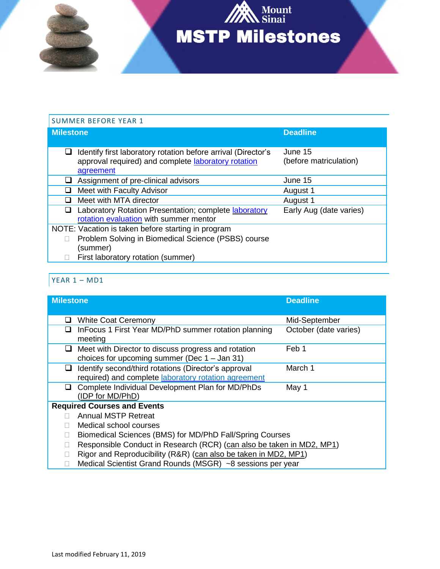

# SUMMER BEFORE YEAR 1 **Milestone Deadline**

| Identify first laboratory rotation before arrival (Director's<br>approval required) and complete laboratory rotation<br>agreement | June 15<br>(before matriculation) |
|-----------------------------------------------------------------------------------------------------------------------------------|-----------------------------------|
| Assignment of pre-clinical advisors                                                                                               | June 15                           |
| Meet with Faculty Advisor                                                                                                         | August 1                          |
| Meet with MTA director                                                                                                            | August 1                          |
| Laboratory Rotation Presentation; complete laboratory<br>rotation evaluation with summer mentor                                   | Early Aug (date varies)           |
| NOTE: Vacation is taken before starting in program                                                                                |                                   |
| Problem Solving in Biomedical Science (PSBS) course<br>(summer)                                                                   |                                   |
| $\Box$ $\Box$ at least set on installer (since $\alpha$ )                                                                         |                                   |

□ First laboratory rotation (summer)

#### YEAR 1 – MD1

| <b>Milestone</b>                   |                                                                       | <b>Deadline</b>       |
|------------------------------------|-----------------------------------------------------------------------|-----------------------|
|                                    |                                                                       |                       |
| ப                                  | <b>White Coat Ceremony</b>                                            | Mid-September         |
| ப                                  | InFocus 1 First Year MD/PhD summer rotation planning                  | October (date varies) |
|                                    | meeting                                                               |                       |
| ப                                  | Meet with Director to discuss progress and rotation                   | Feb 1                 |
|                                    | choices for upcoming summer (Dec $1 -$ Jan 31)                        |                       |
| ப                                  | Identify second/third rotations (Director's approval                  | March 1               |
|                                    | required) and complete <b>laboratory</b> rotation agreement           |                       |
| ப                                  | Complete Individual Development Plan for MD/PhDs                      | May 1                 |
|                                    | (IDP for MD/PhD)                                                      |                       |
| <b>Required Courses and Events</b> |                                                                       |                       |
|                                    | <b>Annual MSTP Retreat</b>                                            |                       |
|                                    | Medical school courses                                                |                       |
|                                    | Biomedical Sciences (BMS) for MD/PhD Fall/Spring Courses              |                       |
|                                    | Responsible Conduct in Research (RCR) (can also be taken in MD2, MP1) |                       |
|                                    | Rigor and Reproducibility (R&R) (can also be taken in MD2, MP1)       |                       |
|                                    | Medical Scientist Grand Rounds (MSGR) ~8 sessions per year            |                       |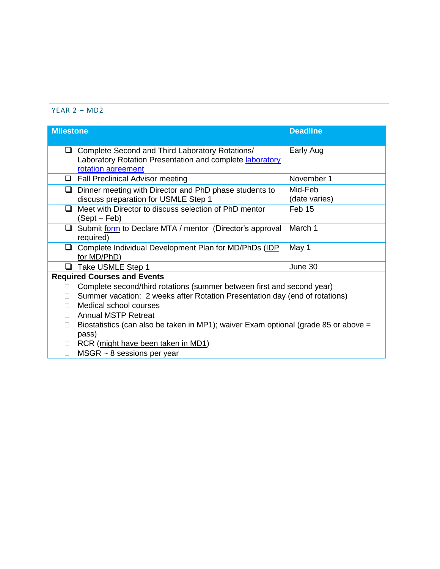#### YEAR 2 – MD2

| <b>Milestone</b> |                                                                                                                                          | <b>Deadline</b>          |
|------------------|------------------------------------------------------------------------------------------------------------------------------------------|--------------------------|
| ⊔                | Complete Second and Third Laboratory Rotations/<br>Laboratory Rotation Presentation and complete <b>laboratory</b><br>rotation agreement | Early Aug                |
| □                | <b>Fall Preclinical Advisor meeting</b>                                                                                                  | November 1               |
| $\Box$           | Dinner meeting with Director and PhD phase students to<br>discuss preparation for USMLE Step 1                                           | Mid-Feb<br>(date varies) |
| ❏                | Meet with Director to discuss selection of PhD mentor<br>(Sept – Feb)                                                                    | Feb 15                   |
| ⊔                | Submit form to Declare MTA / mentor (Director's approval<br>required)                                                                    | March 1                  |
| $\Box$           | Complete Individual Development Plan for MD/PhDs (IDP<br>for MD/PhD)                                                                     | May 1                    |
|                  | Take USMLE Step 1                                                                                                                        | June 30                  |
|                  | <b>Required Courses and Events</b>                                                                                                       |                          |
|                  | Complete second/third rotations (summer between first and second year)                                                                   |                          |
|                  | Summer vacation: 2 weeks after Rotation Presentation day (end of rotations)                                                              |                          |
|                  | Medical school courses                                                                                                                   |                          |
|                  | <b>Annual MSTP Retreat</b>                                                                                                               |                          |
|                  | Biostatistics (can also be taken in MP1); waiver Exam optional (grade 85 or above =<br>pass)                                             |                          |
| 0                | RCR (might have been taken in MD1)                                                                                                       |                          |
| П                | $MSGR \sim 8$ sessions per year                                                                                                          |                          |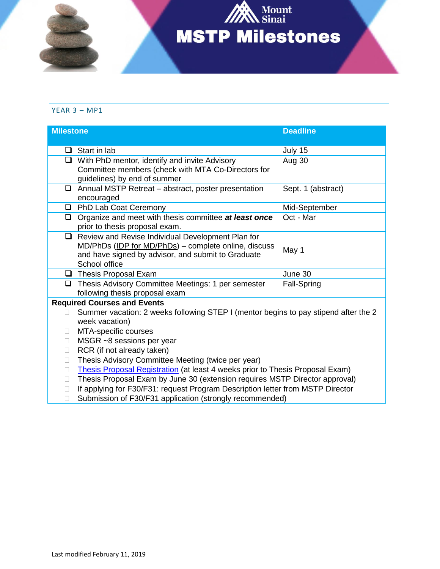

# YEAR 3 – MP1

| <b>Milestone</b> |                                                                                                                                                                                  | <b>Deadline</b>    |  |
|------------------|----------------------------------------------------------------------------------------------------------------------------------------------------------------------------------|--------------------|--|
|                  |                                                                                                                                                                                  |                    |  |
| □                | Start in lab                                                                                                                                                                     | July 15            |  |
| ❏                | With PhD mentor, identify and invite Advisory<br>Committee members (check with MTA Co-Directors for<br>guidelines) by end of summer                                              | Aug 30             |  |
| ❏                | Annual MSTP Retreat - abstract, poster presentation<br>encouraged                                                                                                                | Sept. 1 (abstract) |  |
| u.               | PhD Lab Coat Ceremony                                                                                                                                                            | Mid-September      |  |
| $\Box$           | Organize and meet with thesis committee at least once<br>prior to thesis proposal exam.                                                                                          | Oct - Mar          |  |
| $\Box$           | Review and Revise Individual Development Plan for<br>MD/PhDs (IDP for MD/PhDs) - complete online, discuss<br>and have signed by advisor, and submit to Graduate<br>School office | May 1              |  |
|                  | $\Box$ Thesis Proposal Exam                                                                                                                                                      | June 30            |  |
| $\Box$           | Thesis Advisory Committee Meetings: 1 per semester<br>following thesis proposal exam                                                                                             | Fall-Spring        |  |
|                  | <b>Required Courses and Events</b>                                                                                                                                               |                    |  |
|                  | Summer vacation: 2 weeks following STEP I (mentor begins to pay stipend after the 2<br>week vacation)                                                                            |                    |  |
|                  | MTA-specific courses                                                                                                                                                             |                    |  |
| П                | MSGR ~8 sessions per year                                                                                                                                                        |                    |  |
| П                | RCR (if not already taken)                                                                                                                                                       |                    |  |
| П                | Thesis Advisory Committee Meeting (twice per year)                                                                                                                               |                    |  |
| П                | Thesis Proposal Registration (at least 4 weeks prior to Thesis Proposal Exam)                                                                                                    |                    |  |
| П                | Thesis Proposal Exam by June 30 (extension requires MSTP Director approval)                                                                                                      |                    |  |
| $\Box$           | If applying for F30/F31: request Program Description letter from MSTP Director                                                                                                   |                    |  |
| П                | Submission of F30/F31 application (strongly recommended)                                                                                                                         |                    |  |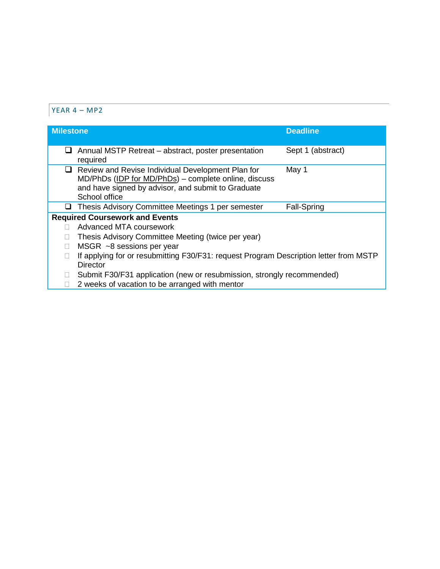### $YEAR 4 - MP2$

| <b>Milestone</b>                                                                                                                                                                        | <b>Deadline</b>                                                                       |  |
|-----------------------------------------------------------------------------------------------------------------------------------------------------------------------------------------|---------------------------------------------------------------------------------------|--|
| Annual MSTP Retreat – abstract, poster presentation<br>⊔<br>required                                                                                                                    | Sept 1 (abstract)                                                                     |  |
| $\Box$ Review and Revise Individual Development Plan for<br>MD/PhDs (IDP for MD/PhDs) – complete online, discuss<br>and have signed by advisor, and submit to Graduate<br>School office | May 1                                                                                 |  |
| Thesis Advisory Committee Meetings 1 per semester<br>⊔                                                                                                                                  | Fall-Spring                                                                           |  |
| <b>Required Coursework and Events</b>                                                                                                                                                   |                                                                                       |  |
| Advanced MTA coursework                                                                                                                                                                 |                                                                                       |  |
| Thesis Advisory Committee Meeting (twice per year)                                                                                                                                      |                                                                                       |  |
| MSGR $~\sim$ 8 sessions per year                                                                                                                                                        |                                                                                       |  |
| <b>Director</b>                                                                                                                                                                         | If applying for or resubmitting F30/F31: request Program Description letter from MSTP |  |
|                                                                                                                                                                                         | Submit F30/F31 application (new or resubmission, strongly recommended)                |  |
| 2 weeks of vacation to be arranged with mentor                                                                                                                                          |                                                                                       |  |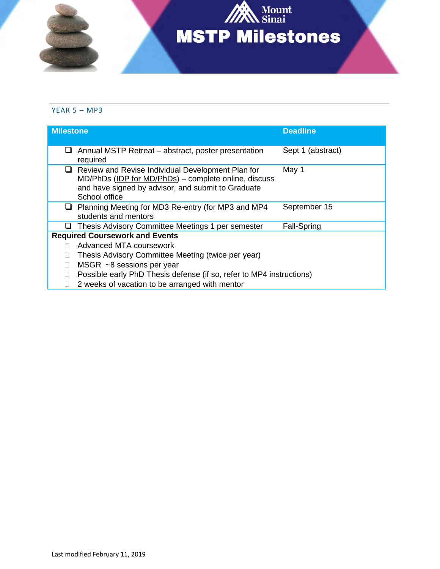

## YEAR 5 – MP3

| <b>Milestone</b>                      |                                                                                                                                                                                  | <b>Deadline</b>    |
|---------------------------------------|----------------------------------------------------------------------------------------------------------------------------------------------------------------------------------|--------------------|
| ப                                     | Annual MSTP Retreat – abstract, poster presentation<br>required                                                                                                                  | Sept 1 (abstract)  |
| ⊔                                     | Review and Revise Individual Development Plan for<br>MD/PhDs (IDP for MD/PhDs) – complete online, discuss<br>and have signed by advisor, and submit to Graduate<br>School office | May 1              |
| u                                     | Planning Meeting for MD3 Re-entry (for MP3 and MP4<br>students and mentors                                                                                                       | September 15       |
| ⊔                                     | Thesis Advisory Committee Meetings 1 per semester                                                                                                                                | <b>Fall-Spring</b> |
| <b>Required Coursework and Events</b> |                                                                                                                                                                                  |                    |
|                                       | Advanced MTA coursework                                                                                                                                                          |                    |
|                                       | Thesis Advisory Committee Meeting (twice per year)                                                                                                                               |                    |
|                                       | MSGR $~\sim$ 8 sessions per year                                                                                                                                                 |                    |
|                                       | Possible early PhD Thesis defense (if so, refer to MP4 instructions)                                                                                                             |                    |
|                                       | 2 weeks of vacation to be arranged with mentor                                                                                                                                   |                    |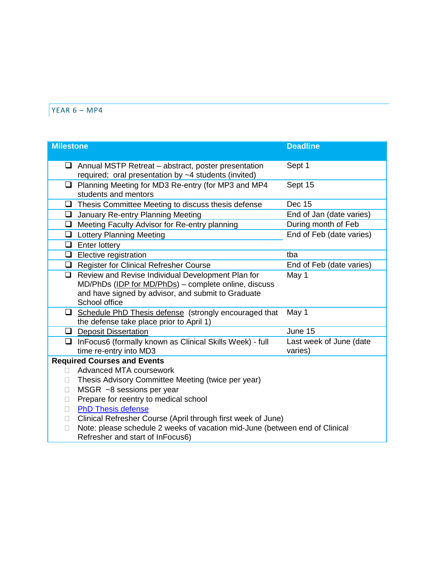#### YEAR 6 – MP4

| <b>Milestone</b> |                                                                                                                    | <b>Deadline</b>                    |  |
|------------------|--------------------------------------------------------------------------------------------------------------------|------------------------------------|--|
|                  |                                                                                                                    |                                    |  |
|                  | $\Box$ Annual MSTP Retreat – abstract, poster presentation<br>required; oral presentation by ~4 students (invited) | Sept 1                             |  |
| ⊔                | Planning Meeting for MD3 Re-entry (for MP3 and MP4<br>students and mentors                                         | Sept 15                            |  |
| $\Box$           | Thesis Committee Meeting to discuss thesis defense                                                                 | Dec 15                             |  |
| $\Box$           | January Re-entry Planning Meeting                                                                                  | End of Jan (date varies)           |  |
| $\Box$           | Meeting Faculty Advisor for Re-entry planning                                                                      | During month of Feb                |  |
|                  | <b>Q</b> Lottery Planning Meeting                                                                                  | End of Feb (date varies)           |  |
|                  | $\Box$ Enter lottery                                                                                               |                                    |  |
|                  | $\Box$ Elective registration                                                                                       | tba                                |  |
|                  | $\Box$ Register for Clinical Refresher Course                                                                      | End of Feb (date varies)           |  |
| ❏                | Review and Revise Individual Development Plan for                                                                  | May 1                              |  |
|                  | MD/PhDs (IDP for MD/PhDs) - complete online, discuss                                                               |                                    |  |
|                  | and have signed by advisor, and submit to Graduate<br>School office                                                |                                    |  |
| $\Box$           | Schedule PhD Thesis defense (strongly encouraged that                                                              | May 1                              |  |
|                  | the defense take place prior to April 1)                                                                           |                                    |  |
|                  | $\Box$ Deposit Dissertation                                                                                        | June 15                            |  |
| ❏                | InFocus6 (formally known as Clinical Skills Week) - full<br>time re-entry into MD3                                 | Last week of June (date<br>varies) |  |
|                  | <b>Required Courses and Events</b>                                                                                 |                                    |  |
|                  | Advanced MTA coursework                                                                                            |                                    |  |
| $\Box$           | Thesis Advisory Committee Meeting (twice per year)                                                                 |                                    |  |
| $\mathbf{L}$     | MSGR ~8 sessions per year                                                                                          |                                    |  |
| Ш                | Prepare for reentry to medical school                                                                              |                                    |  |
| П                | <b>PhD Thesis defense</b>                                                                                          |                                    |  |
| $\mathbf{L}$     | Clinical Refresher Course (April through first week of June)                                                       |                                    |  |
| П                | Note: please schedule 2 weeks of vacation mid-June (between end of Clinical                                        |                                    |  |
|                  | Refresher and start of InFocus6)                                                                                   |                                    |  |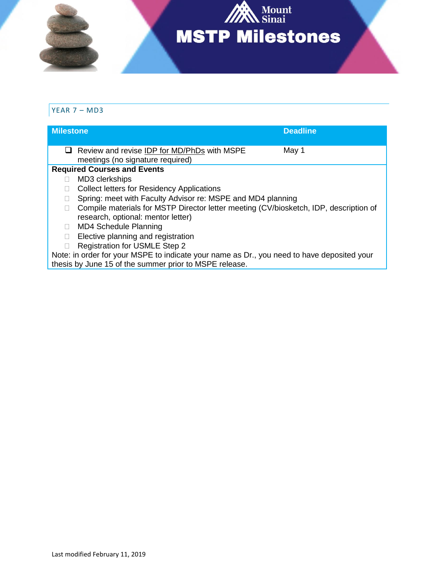

#### YEAR 7 – MD3

| <b>Milestone</b>                                                                           |                                                                                       | <b>Deadline</b> |
|--------------------------------------------------------------------------------------------|---------------------------------------------------------------------------------------|-----------------|
|                                                                                            | Review and revise IDP for MD/PhDs with MSPE<br>meetings (no signature required)       | May 1           |
|                                                                                            | <b>Required Courses and Events</b>                                                    |                 |
|                                                                                            | MD3 clerkships                                                                        |                 |
|                                                                                            | <b>Collect letters for Residency Applications</b>                                     |                 |
|                                                                                            | Spring: meet with Faculty Advisor re: MSPE and MD4 planning                           |                 |
|                                                                                            | Compile materials for MSTP Director letter meeting (CV/biosketch, IDP, description of |                 |
|                                                                                            | research, optional: mentor letter)                                                    |                 |
|                                                                                            | <b>MD4 Schedule Planning</b>                                                          |                 |
|                                                                                            | Elective planning and registration                                                    |                 |
|                                                                                            | <b>Registration for USMLE Step 2</b>                                                  |                 |
| Note: in order for your MSPE to indicate your name as Dr., you need to have deposited your |                                                                                       |                 |
| thesis by June 15 of the summer prior to MSPE release.                                     |                                                                                       |                 |